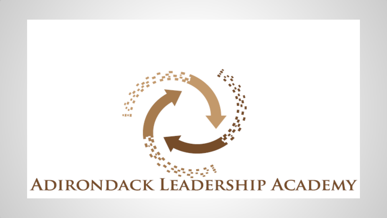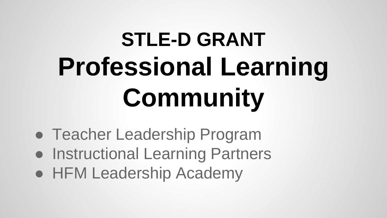# **STLE-D GRANT Professional Learning Community**

- Teacher Leadership Program
- Instructional Learning Partners
- HFM Leadership Academy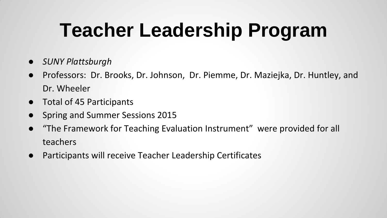### **Teacher Leadership Program**

- *SUNY Plattsburgh*
- Professors: Dr. Brooks, Dr. Johnson, Dr. Piemme, Dr. Maziejka, Dr. Huntley, and Dr. Wheeler
- Total of 45 Participants
- Spring and Summer Sessions 2015
- "The Framework for Teaching Evaluation Instrument" were provided for all teachers
- Participants will receive Teacher Leadership Certificates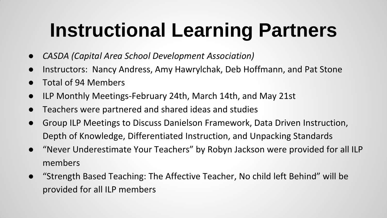## **Instructional Learning Partners**

- *CASDA (Capital Area School Development Association)*
- Instructors: Nancy Andress, Amy Hawrylchak, Deb Hoffmann, and Pat Stone
- Total of 94 Members
- ILP Monthly Meetings-February 24th, March 14th, and May 21st
- Teachers were partnered and shared ideas and studies
- Group ILP Meetings to Discuss Danielson Framework, Data Driven Instruction, Depth of Knowledge, Differentiated Instruction, and Unpacking Standards
- "Never Underestimate Your Teachers" by Robyn Jackson were provided for all ILP members
- "Strength Based Teaching: The Affective Teacher, No child left Behind" will be provided for all ILP members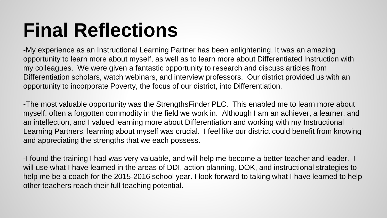### **Final Reflections**

-My experience as an Instructional Learning Partner has been enlightening. It was an amazing opportunity to learn more about myself, as well as to learn more about Differentiated Instruction with my colleagues. We were given a fantastic opportunity to research and discuss articles from Differentiation scholars, watch webinars, and interview professors. Our district provided us with an opportunity to incorporate Poverty, the focus of our district, into Differentiation.

-The most valuable opportunity was the StrengthsFinder PLC. This enabled me to learn more about myself, often a forgotten commodity in the field we work in. Although I am an achiever, a learner, and an intellection, and I valued learning more about Differentiation and working with my Instructional Learning Partners, learning about myself was crucial. I feel like our district could benefit from knowing and appreciating the strengths that we each possess.

-I found the training I had was very valuable, and will help me become a better teacher and leader. I will use what I have learned in the areas of DDI, action planning, DOK, and instructional strategies to help me be a coach for the 2015-2016 school year. I look forward to taking what I have learned to help other teachers reach their full teaching potential.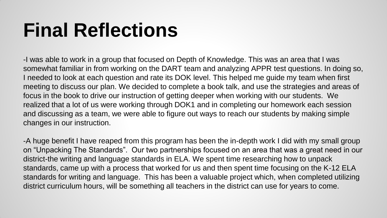### **Final Reflections**

-I was able to work in a group that focused on Depth of Knowledge. This was an area that I was somewhat familiar in from working on the DART team and analyzing APPR test questions. In doing so, I needed to look at each question and rate its DOK level. This helped me guide my team when first meeting to discuss our plan. We decided to complete a book talk, and use the strategies and areas of focus in the book to drive our instruction of getting deeper when working with our students. We realized that a lot of us were working through DOK1 and in completing our homework each session and discussing as a team, we were able to figure out ways to reach our students by making simple changes in our instruction.

-A huge benefit I have reaped from this program has been the in-depth work I did with my small group on "Unpacking The Standards". Our two partnerships focused on an area that was a great need in our district-the writing and language standards in ELA. We spent time researching how to unpack standards, came up with a process that worked for us and then spent time focusing on the K-12 ELA standards for writing and language. This has been a valuable project which, when completed utilizing district curriculum hours, will be something all teachers in the district can use for years to come.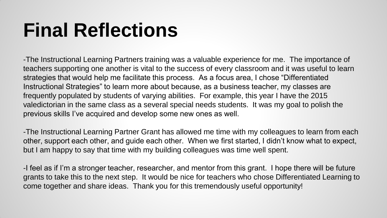### **Final Reflections**

-The Instructional Learning Partners training was a valuable experience for me. The importance of teachers supporting one another is vital to the success of every classroom and it was useful to learn strategies that would help me facilitate this process. As a focus area, I chose "Differentiated Instructional Strategies" to learn more about because, as a business teacher, my classes are frequently populated by students of varying abilities. For example, this year I have the 2015 valedictorian in the same class as a several special needs students. It was my goal to polish the previous skills I've acquired and develop some new ones as well.

-The Instructional Learning Partner Grant has allowed me time with my colleagues to learn from each other, support each other, and guide each other. When we first started, I didn't know what to expect, but I am happy to say that time with my building colleagues was time well spent.

-I feel as if I'm a stronger teacher, researcher, and mentor from this grant. I hope there will be future grants to take this to the next step. It would be nice for teachers who chose Differentiated Learning to come together and share ideas. Thank you for this tremendously useful opportunity!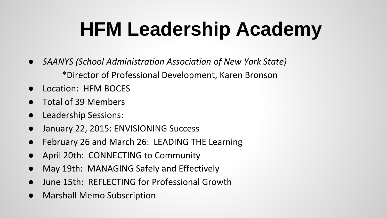## **HFM Leadership Academy**

- *SAANYS (School Administration Association of New York State)* \*Director of Professional Development, Karen Bronson
- Location: HFM BOCES
- Total of 39 Members
- Leadership Sessions:
- January 22, 2015: ENVISIONING Success
- February 26 and March 26: LEADING THE Learning
- April 20th: CONNECTING to Community
- May 19th: MANAGING Safely and Effectively
- June 15th: REFLECTING for Professional Growth
- **Marshall Memo Subscription**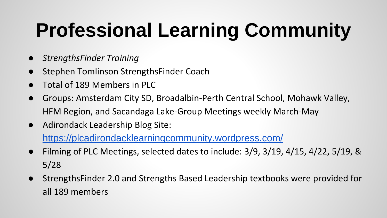# **Professional Learning Community**

- *StrengthsFinder Training*
- Stephen Tomlinson StrengthsFinder Coach
- Total of 189 Members in PLC
- Groups: Amsterdam City SD, Broadalbin-Perth Central School, Mohawk Valley, HFM Region, and Sacandaga Lake-Group Meetings weekly March-May
- Adirondack Leadership Blog Site: <https://plcadirondacklearningcommunity.wordpress.com/>
- Filming of PLC Meetings, selected dates to include: 3/9, 3/19, 4/15, 4/22, 5/19, & 5/28
- StrengthsFinder 2.0 and Strengths Based Leadership textbooks were provided for all 189 members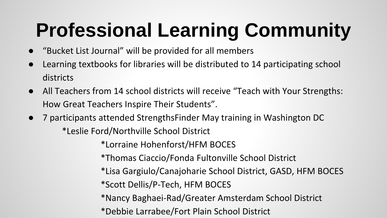# **Professional Learning Community**

- "Bucket List Journal" will be provided for all members
- Learning textbooks for libraries will be distributed to 14 participating school districts
- All Teachers from 14 school districts will receive "Teach with Your Strengths: How Great Teachers Inspire Their Students".
- 7 participants attended StrengthsFinder May training in Washington DC

\*Leslie Ford/Northville School District

\*Lorraine Hohenforst/HFM BOCES

\*Thomas Ciaccio/Fonda Fultonville School District

\*Lisa Gargiulo/Canajoharie School District, GASD, HFM BOCES

\*Scott Dellis/P-Tech, HFM BOCES

\*Nancy Baghaei-Rad/Greater Amsterdam School District

\*Debbie Larrabee/Fort Plain School District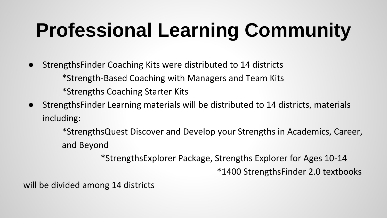# **Professional Learning Community**

- StrengthsFinder Coaching Kits were distributed to 14 districts \*Strength-Based Coaching with Managers and Team Kits \*Strengths Coaching Starter Kits
- StrengthsFinder Learning materials will be distributed to 14 districts, materials including:

\*StrengthsQuest Discover and Develop your Strengths in Academics, Career, and Beyond

\*StrengthsExplorer Package, Strengths Explorer for Ages 10-14

\*1400 StrengthsFinder 2.0 textbooks

will be divided among 14 districts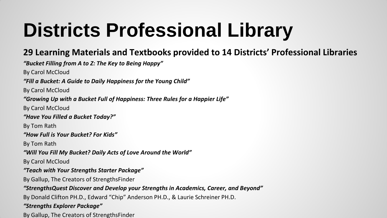# **Districts Professional Library**

### **29 Learning Materials and Textbooks provided to 14 Districts' Professional Libraries**

*"Bucket Filling from A to Z: The Key to Being Happy"*

By Carol McCloud

*"Fill a Bucket: A Guide to Daily Happiness for the Young Child"*

By Carol McCloud

*"Growing Up with a Bucket Full of Happiness: Three Rules for a Happier Life"*

By Carol McCloud

*"Have You Filled a Bucket Today?"* 

By Tom Rath

*"How Full is Your Bucket? For Kids"*

By Tom Rath

*"Will You Fill My Bucket? Daily Acts of Love Around the World"*

By Carol McCloud

*"Teach with Your Strengths Starter Package"*

By Gallup, The Creators of StrengthsFinder

*"StrengthsQuest Discover and Develop your Strengths in Academics, Career, and Beyond"*

By Donald Clifton PH.D., Edward "Chip" Anderson PH.D., & Laurie Schreiner PH.D.

*"Strengths Explorer Package"*

By Gallup, The Creators of StrengthsFinder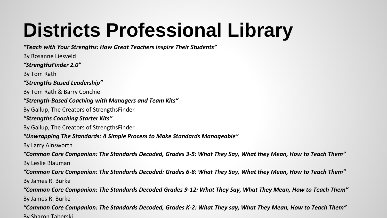## **Districts Professional Library**

*"Teach with Your Strengths: How Great Teachers Inspire Their Students"* 

By Rosanne Liesveld

*"StrengthsFinder 2.0"*

By Tom Rath

*"Strengths Based Leadership"*

By Tom Rath & Barry Conchie

### *"Strength-Based Coaching with Managers and Team Kits"*

By Gallup, The Creators of StrengthsFinder

### *"Strengths Coaching Starter Kits"*

By Gallup, The Creators of StrengthsFinder

*"Unwrapping The Standards: A Simple Process to Make Standards Manageable"*

By Larry Ainsworth

*"Common Core Companion: The Standards Decoded, Grades 3-5: What They Say, What they Mean, How to Teach Them"*

By Leslie Blauman

*"Common Core Companion: The Standards Decoded: Grades 6-8: What They Say, What they Mean, How to Teach Them"* By James R. Burke

*"Common Core Companion: The Standards Decoded Grades 9-12: What They Say, What They Mean, How to Teach Them"* By James R. Burke

*"Common Core Companion: The Standards Decoded, Grades K-2: What They say, What They Mean, How to Teach Them"* By Sharon Taberski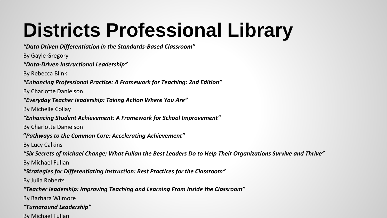## **Districts Professional Library**

*"Data Driven Differentiation in the Standards-Based Classroom"*

By Gayle Gregory

*"Data-Driven Instructional Leadership"*

By Rebecca Blink

*"Enhancing Professional Practice: A Framework for Teaching: 2nd Edition"*

By Charlotte Danielson

#### *"Everyday Teacher leadership: Taking Action Where You Are"*

By Michelle Collay

*"Enhancing Student Achievement: A Framework for School Improvement"*

By Charlotte Danielson

**"***Pathways to the Common Core: Accelerating Achievement"*

By Lucy Calkins

*"Six Secrets of michael Change; What Fullan the Best Leaders Do to Help Their Organizations Survive and Thrive"*

By Michael Fullan

*"Strategies for Differentiating Instruction: Best Practices for the Classroom"*

By Julia Roberts

*"Teacher leadership: Improving Teaching and Learning From Inside the Classroom"*

By Barbara Wilmore

*"Turnaround Leadership"*

By Michael Fullan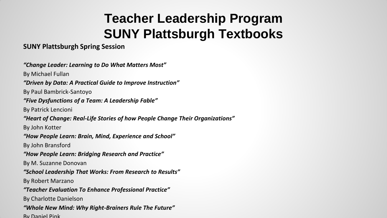### **Teacher Leadership Program SUNY Plattsburgh Textbooks**

### **SUNY Plattsburgh Spring Session**

*"Change Leader: Learning to Do What Matters Most"* 

By Michael Fullan

*"Driven by Data: A Practical Guide to Improve Instruction"*

By Paul Bambrick-Santoyo

### *"Five Dysfunctions of a Team: A Leadership Fable"*

By Patrick Lencioni

*"Heart of Change: Real-Life Stories of how People Change Their Organizations"*

By John Kotter

*"How People Learn: Brain, Mind, Experience and School"*

By John Bransford

*"How People Learn: Bridging Research and Practice"*

By M. Suzanne Donovan

*"School Leadership That Works: From Research to Results"*

By Robert Marzano

*"Teacher Evaluation To Enhance Professional Practice"*

By Charlotte Danielson

*"Whole New Mind: Why Right-Brainers Rule The Future"*

By Daniel Pink